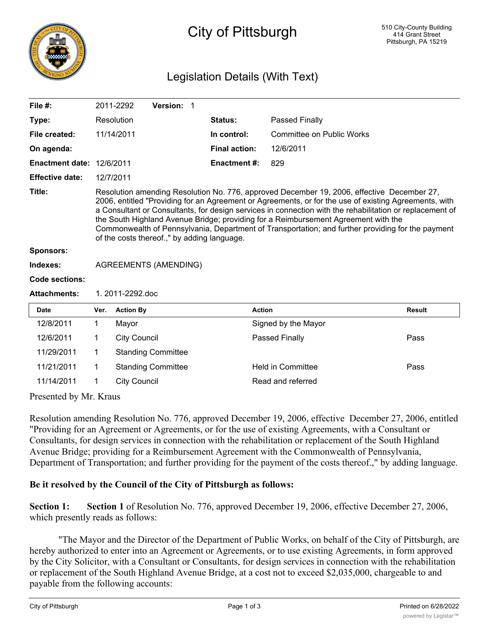

## City of Pittsburgh

## Legislation Details (With Text)

| File $#$ :                |                                                                                                                                                                                                                                                                                                                                                                                                                                                                                                                                                           | 2011-2292                    | Version: 1                |  |                      |                           |               |
|---------------------------|-----------------------------------------------------------------------------------------------------------------------------------------------------------------------------------------------------------------------------------------------------------------------------------------------------------------------------------------------------------------------------------------------------------------------------------------------------------------------------------------------------------------------------------------------------------|------------------------------|---------------------------|--|----------------------|---------------------------|---------------|
| Type:                     |                                                                                                                                                                                                                                                                                                                                                                                                                                                                                                                                                           | Resolution                   |                           |  | Status:              | Passed Finally            |               |
| File created:             |                                                                                                                                                                                                                                                                                                                                                                                                                                                                                                                                                           | 11/14/2011                   |                           |  | In control:          | Committee on Public Works |               |
| On agenda:                |                                                                                                                                                                                                                                                                                                                                                                                                                                                                                                                                                           |                              |                           |  | <b>Final action:</b> | 12/6/2011                 |               |
| Enactment date: 12/6/2011 |                                                                                                                                                                                                                                                                                                                                                                                                                                                                                                                                                           |                              |                           |  | <b>Enactment#:</b>   | 829                       |               |
| <b>Effective date:</b>    | 12/7/2011                                                                                                                                                                                                                                                                                                                                                                                                                                                                                                                                                 |                              |                           |  |                      |                           |               |
| Title:                    | Resolution amending Resolution No. 776, approved December 19, 2006, effective December 27,<br>2006, entitled "Providing for an Agreement or Agreements, or for the use of existing Agreements, with<br>a Consultant or Consultants, for design services in connection with the rehabilitation or replacement of<br>the South Highland Avenue Bridge; providing for a Reimbursement Agreement with the<br>Commonwealth of Pennsylvania, Department of Transportation; and further providing for the payment<br>of the costs thereof.," by adding language. |                              |                           |  |                      |                           |               |
| <b>Sponsors:</b>          |                                                                                                                                                                                                                                                                                                                                                                                                                                                                                                                                                           |                              |                           |  |                      |                           |               |
| Indexes:                  |                                                                                                                                                                                                                                                                                                                                                                                                                                                                                                                                                           | <b>AGREEMENTS (AMENDING)</b> |                           |  |                      |                           |               |
| <b>Code sections:</b>     |                                                                                                                                                                                                                                                                                                                                                                                                                                                                                                                                                           |                              |                           |  |                      |                           |               |
| <b>Attachments:</b>       | 1.2011-2292.doc                                                                                                                                                                                                                                                                                                                                                                                                                                                                                                                                           |                              |                           |  |                      |                           |               |
| <b>Date</b>               | Ver.                                                                                                                                                                                                                                                                                                                                                                                                                                                                                                                                                      | <b>Action By</b>             |                           |  | <b>Action</b>        |                           | <b>Result</b> |
| 12/8/2011                 | 1                                                                                                                                                                                                                                                                                                                                                                                                                                                                                                                                                         | Mayor                        |                           |  |                      | Signed by the Mayor       |               |
| 12/6/2011                 | 1                                                                                                                                                                                                                                                                                                                                                                                                                                                                                                                                                         | <b>City Council</b>          |                           |  |                      | Passed Finally            | Pass          |
| 11/29/2011                | 1                                                                                                                                                                                                                                                                                                                                                                                                                                                                                                                                                         |                              | <b>Standing Committee</b> |  |                      |                           |               |
| 11/21/2011                | 1                                                                                                                                                                                                                                                                                                                                                                                                                                                                                                                                                         |                              | <b>Standing Committee</b> |  |                      | <b>Held in Committee</b>  | Pass          |
| 11/14/2011                | 1                                                                                                                                                                                                                                                                                                                                                                                                                                                                                                                                                         | <b>City Council</b>          |                           |  |                      | Read and referred         |               |

Presented by Mr. Kraus

Resolution amending Resolution No. 776, approved December 19, 2006, effective December 27, 2006, entitled "Providing for an Agreement or Agreements, or for the use of existing Agreements, with a Consultant or Consultants, for design services in connection with the rehabilitation or replacement of the South Highland Avenue Bridge; providing for a Reimbursement Agreement with the Commonwealth of Pennsylvania, Department of Transportation; and further providing for the payment of the costs thereof.," by adding language.

## **Be it resolved by the Council of the City of Pittsburgh as follows:**

**Section 1: Section 1** of Resolution No. 776, approved December 19, 2006, effective December 27, 2006, which presently reads as follows:

"The Mayor and the Director of the Department of Public Works, on behalf of the City of Pittsburgh, are hereby authorized to enter into an Agreement or Agreements, or to use existing Agreements, in form approved by the City Solicitor, with a Consultant or Consultants, for design services in connection with the rehabilitation or replacement of the South Highland Avenue Bridge, at a cost not to exceed \$2,035,000, chargeable to and payable from the following accounts: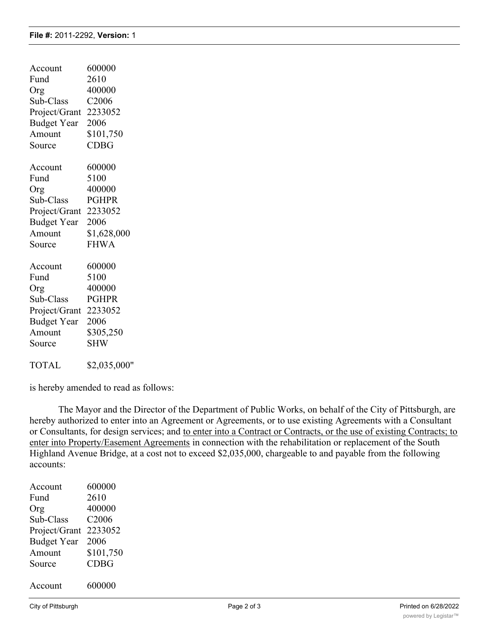| Account            | 600000       |
|--------------------|--------------|
| Fund               | 2610         |
| Org                | 400000       |
| Sub-Class          | C2006        |
| Project/Grant      | 2233052      |
| <b>Budget Year</b> | 2006         |
| Amount             | \$101,750    |
| Source             | <b>CDBG</b>  |
| Account            | 600000       |
| Fund               | 5100         |
| Org                | 400000       |
| Sub-Class          | <b>PGHPR</b> |
| Project/Grant      | 2233052      |
| <b>Budget Year</b> | 2006         |
| Amount             | \$1,628,000  |
| Source             | <b>FHWA</b>  |
| Account            | 600000       |
| Fund               | 5100         |
| Org                | 400000       |
| Sub-Class          | <b>PGHPR</b> |
| Project/Grant      | 2233052      |
| <b>Budget Year</b> | 2006         |
| Amount             | \$305,250    |
| Source             | <b>SHW</b>   |
| <b>TOTAL</b>       | \$2,035,000" |

is hereby amended to read as follows:

The Mayor and the Director of the Department of Public Works, on behalf of the City of Pittsburgh, are hereby authorized to enter into an Agreement or Agreements, or to use existing Agreements with a Consultant or Consultants, for design services; and to enter into a Contract or Contracts, or the use of existing Contracts; to enter into Property/Easement Agreements in connection with the rehabilitation or replacement of the South Highland Avenue Bridge, at a cost not to exceed \$2,035,000, chargeable to and payable from the following accounts:

| Account            | 600000            |
|--------------------|-------------------|
| Fund               | 2610              |
| Org                | 400000            |
| Sub-Class          | C <sub>2006</sub> |
| Project/Grant      | 2233052           |
| <b>Budget Year</b> | 2006              |
| Amount             | \$101,750         |
| Source             | <b>CDBG</b>       |
|                    |                   |
| Account            | 600000            |
|                    |                   |